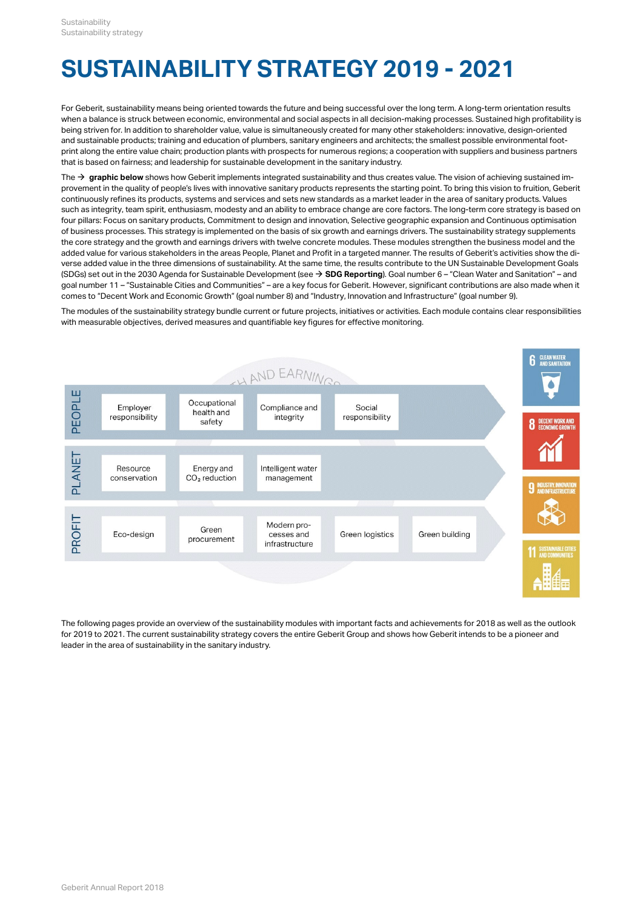# **SUSTAINABILITY STRATEGY 2019 - 2021**

For Geberit, sustainability means being oriented towards the future and being successful over the long term. A long-term orientation results when a balance is struck between economic, environmental and social aspects in all decision-making processes. Sustained high profitability is being striven for. In addition to shareholder value, value is simultaneously created for many other stakeholders: innovative, design-oriented and sustainable products; training and education of plumbers, sanitary engineers and architects; the smallest possible environmental footprint along the entire value chain; production plants with prospects for numerous regions; a cooperation with suppliers and business partners that is based on fairness; and leadership for sustainable development in the sanitary industry.

The → [graphic below](#page-0-0) shows how Geberit implements integrated sustainability and thus creates value. The vision of achieving sustained improvement in the quality of people's lives with innovative sanitary products represents the starting point. To bring this vision to fruition, Geberit continuously refines its products, systems and services and sets new standards as a market leader in the area of sanitary products. Values such as integrity, team spirit, enthusiasm, modesty and an ability to embrace change are core factors. The long-term core strategy is based on four pillars: Focus on sanitary products, Commitment to design and innovation, Selective geographic expansion and Continuous optimisation of business processes. This strategy is implemented on the basis of six growth and earnings drivers. The sustainability strategy supplements the core strategy and the growth and earnings drivers with twelve concrete modules. These modules strengthen the business model and the added value for various stakeholders in the areas People, Planet and Profit in a targeted manner. The results of Geberit's activities show the diverse added value in the three dimensions of sustainability. At the same time, the results contribute to the UN Sustainable Development Goals (SDGs) set out in the 2030 Agenda for Sustainable Development (see **[SDG Reporting](http://annualreport.geberit.com/geberit/annual/2018/gb/layout/../English/pdf/SDG_Reporting_2018_en.pdf)**). Goal number 6 – "Clean Water and Sanitation" – and [\\$](http://annualreport.geberit.com/geberit/annual/2018/gb/layout/../English/pdf/SDG_Reporting_2018_en.pdf)goal number 11 – "Sustainable Cities and Communities" – are a key focus for Geberit. However, significant contributions are also made when it comes to "Decent Work and Economic Growth" (goal number 8) and "Industry, Innovation and Infrastructure" (goal number 9).

<span id="page-0-0"></span>The modules of the sustainability strategy bundle current or future projects, initiatives or activities. Each module contains clear responsibilities with measurable objectives, derived measures and quantifiable key figures for effective monitoring.



The following pages provide an overview of the sustainability modules with important facts and achievements for 2018 as well as the outlook for 2019 to 2021. The current sustainability strategy covers the entire Geberit Group and shows how Geberit intends to be a pioneer and leader in the area of sustainability in the sanitary industry.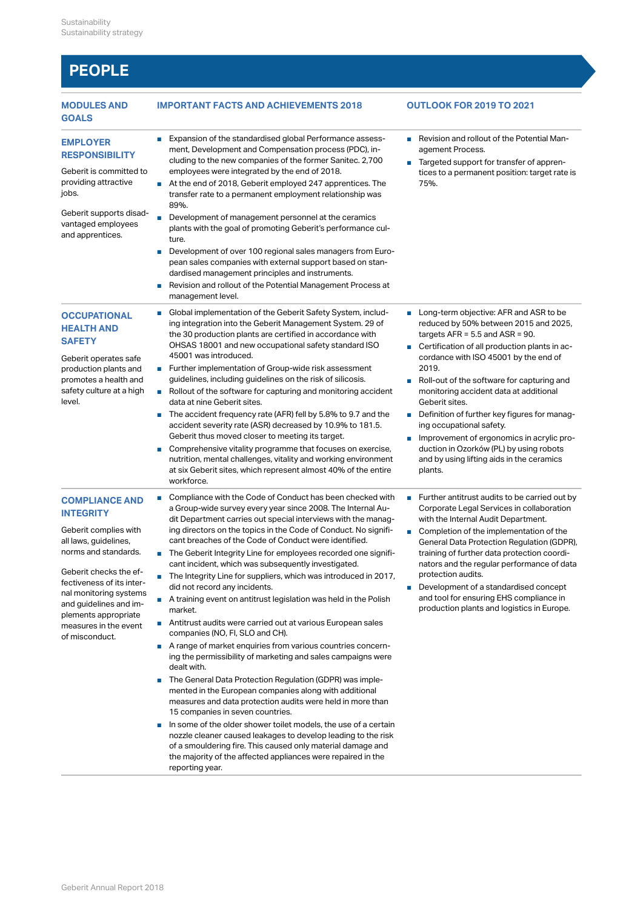## **PEOPLE**

| <b>MODULES AND</b><br><b>GOALS</b>                                                                                                                                                                                                                                                                | <b>IMPORTANT FACTS AND ACHIEVEMENTS 2018</b>                                                                                                                                                                                                                                                                                                                                                                                                                                                                                                                                                                                                                                                                                                                                                                                                                                                                                                                                                                                                                                                                                                                                                                                                                                                                                                                                                                                                                          | <b>OUTLOOK FOR 2019 TO 2021</b>                                                                                                                                                                                                                                                                                                                                                                                                                                                                                                                                                                                    |
|---------------------------------------------------------------------------------------------------------------------------------------------------------------------------------------------------------------------------------------------------------------------------------------------------|-----------------------------------------------------------------------------------------------------------------------------------------------------------------------------------------------------------------------------------------------------------------------------------------------------------------------------------------------------------------------------------------------------------------------------------------------------------------------------------------------------------------------------------------------------------------------------------------------------------------------------------------------------------------------------------------------------------------------------------------------------------------------------------------------------------------------------------------------------------------------------------------------------------------------------------------------------------------------------------------------------------------------------------------------------------------------------------------------------------------------------------------------------------------------------------------------------------------------------------------------------------------------------------------------------------------------------------------------------------------------------------------------------------------------------------------------------------------------|--------------------------------------------------------------------------------------------------------------------------------------------------------------------------------------------------------------------------------------------------------------------------------------------------------------------------------------------------------------------------------------------------------------------------------------------------------------------------------------------------------------------------------------------------------------------------------------------------------------------|
| <b>EMPLOYER</b><br><b>RESPONSIBILITY</b><br>Geberit is committed to<br>providing attractive<br>jobs.<br>Geberit supports disad-<br>vantaged employees<br>and apprentices.                                                                                                                         | ■ Expansion of the standardised global Performance assess-<br>ment, Development and Compensation process (PDC), in-<br>cluding to the new companies of the former Sanitec. 2,700<br>employees were integrated by the end of 2018.<br>At the end of 2018, Geberit employed 247 apprentices. The<br>transfer rate to a permanent employment relationship was<br>89%.<br>Development of management personnel at the ceramics<br>plants with the goal of promoting Geberit's performance cul-<br>ture.<br>Development of over 100 regional sales managers from Euro-<br>$\mathcal{C}_{\mathcal{A}}$<br>pean sales companies with external support based on stan-<br>dardised management principles and instruments.<br>Revision and rollout of the Potential Management Process at<br>H.<br>management level.                                                                                                                                                                                                                                                                                                                                                                                                                                                                                                                                                                                                                                                             | ■ Revision and rollout of the Potential Man-<br>agement Process.<br>Targeted support for transfer of appren-<br>tices to a permanent position: target rate is<br>75%.                                                                                                                                                                                                                                                                                                                                                                                                                                              |
| <b>OCCUPATIONAL</b><br><b>HEALTH AND</b><br><b>SAFETY</b><br>Geberit operates safe<br>production plants and<br>promotes a health and<br>safety culture at a high<br>level.                                                                                                                        | Global implementation of the Geberit Safety System, includ-<br>ing integration into the Geberit Management System. 29 of<br>the 30 production plants are certified in accordance with<br>OHSAS 18001 and new occupational safety standard ISO<br>45001 was introduced.<br>■ Further implementation of Group-wide risk assessment<br>guidelines, including guidelines on the risk of silicosis.<br>Rollout of the software for capturing and monitoring accident<br>data at nine Geberit sites.<br>The accident frequency rate (AFR) fell by 5.8% to 9.7 and the<br>$\blacksquare$<br>accident severity rate (ASR) decreased by 10.9% to 181.5.<br>Geberit thus moved closer to meeting its target.<br>Comprehensive vitality programme that focuses on exercise,<br>$\mathcal{L}_{\mathcal{A}}$<br>nutrition, mental challenges, vitality and working environment<br>at six Geberit sites, which represent almost 40% of the entire<br>workforce.                                                                                                                                                                                                                                                                                                                                                                                                                                                                                                                     | ■ Long-term objective: AFR and ASR to be<br>reduced by 50% between 2015 and 2025,<br>targets $AFR = 5.5$ and $ASR = 90$ .<br>■ Certification of all production plants in ac-<br>cordance with ISO 45001 by the end of<br>2019.<br>Roll-out of the software for capturing and<br>monitoring accident data at additional<br>Geberit sites.<br>Definition of further key figures for manag-<br>$\blacksquare$<br>ing occupational safety.<br>Improvement of ergonomics in acrylic pro-<br>$\overline{\phantom{a}}$<br>duction in Ozorków (PL) by using robots<br>and by using lifting aids in the ceramics<br>plants. |
| <b>COMPLIANCE AND</b><br><b>INTEGRITY</b><br>Geberit complies with<br>all laws, guidelines,<br>norms and standards.<br>Geberit checks the ef-<br>fectiveness of its inter-<br>nal monitoring systems<br>and guidelines and im-<br>plements appropriate<br>measures in the event<br>of misconduct. | Compliance with the Code of Conduct has been checked with<br>$\mathcal{L}_{\mathcal{A}}$<br>a Group-wide survey every year since 2008. The Internal Au-<br>dit Department carries out special interviews with the manag-<br>ing directors on the topics in the Code of Conduct. No signifi-<br>cant breaches of the Code of Conduct were identified.<br>■ The Geberit Integrity Line for employees recorded one signifi-<br>cant incident, which was subsequently investigated.<br>The Integrity Line for suppliers, which was introduced in 2017,<br>did not record any incidents.<br>A training event on antitrust legislation was held in the Polish<br>market.<br>Antitrust audits were carried out at various European sales<br>companies (NO, FI, SLO and CH).<br>A range of market enquiries from various countries concern-<br>ing the permissibility of marketing and sales campaigns were<br>dealt with.<br>The General Data Protection Regulation (GDPR) was imple-<br>$\mathcal{C}^{\mathcal{A}}$<br>mented in the European companies along with additional<br>measures and data protection audits were held in more than<br>15 companies in seven countries.<br>In some of the older shower toilet models, the use of a certain<br>U,<br>nozzle cleaner caused leakages to develop leading to the risk<br>of a smouldering fire. This caused only material damage and<br>the majority of the affected appliances were repaired in the<br>reporting year. | ■ Further antitrust audits to be carried out by<br>Corporate Legal Services in collaboration<br>with the Internal Audit Department.<br>Completion of the implementation of the<br>$\mathcal{L}_{\mathcal{A}}$<br>General Data Protection Regulation (GDPR),<br>training of further data protection coordi-<br>nators and the regular performance of data<br>protection audits.<br>Development of a standardised concept<br>and tool for ensuring EHS compliance in<br>production plants and logistics in Europe.                                                                                                   |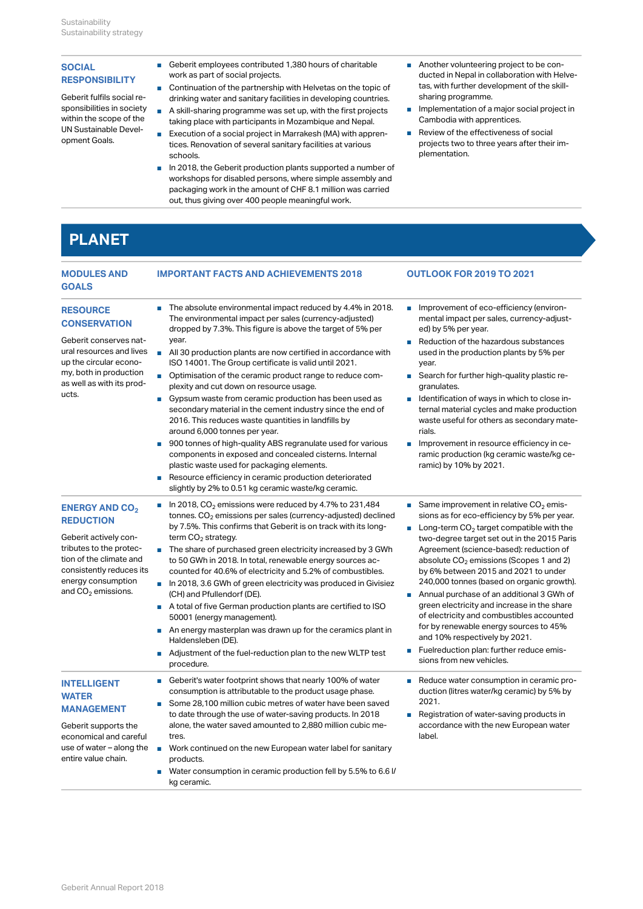Geberit fulfils social re-UN Sustainable Development Goals.

- SOCIAL
 Geberit employees contributed 1,380 hours of charitable
 Another volunteering project work as part of social projects.
- **RESPONSIBILITY**<br>Continuation of the partnership with Helvetas on the topic of tas, with further drinking water and sanitary facilities in developing countries.
- sponsibilities in society A skill-sharing programme was set up, with the first projects Implementation of a major so within the scope of the taking place with participants in Mozambique and Nepal.
	- Execution of a social project in Marrakesh (MA) with apprentices. Renovation of several sanitary facilities at various schools.
	- In 2018, the Geberit production plants supported a number of workshops for disabled persons, where simple assembly and packaging work in the amount of CHF 8.1 million was carried out, thus giving over 400 people meaningful work.
- Another volunteering project to be conducted in Nepal in collaboration with Helvetas, with further development of the skillsharing programme.
- Implementation of a major social project in Cambodia with apprentices.
- Review of the effectiveness of social projects two to three years after their implementation.

### **PLANET**

| <b>MODULES AND</b><br><b>GOALS</b>                                                                                                                                                                                      | <b>IMPORTANT FACTS AND ACHIEVEMENTS 2018</b>                                                                                                                                                                                                                                                                                                                                                                                                                                                                                                                                                                                                                                                                                                                                                                                                                                                                                                           | <b>OUTLOOK FOR 2019 TO 2021</b>                                                                                                                                                                                                                                                                                                                                                                                                                                                                                                                                                                                                                                               |
|-------------------------------------------------------------------------------------------------------------------------------------------------------------------------------------------------------------------------|--------------------------------------------------------------------------------------------------------------------------------------------------------------------------------------------------------------------------------------------------------------------------------------------------------------------------------------------------------------------------------------------------------------------------------------------------------------------------------------------------------------------------------------------------------------------------------------------------------------------------------------------------------------------------------------------------------------------------------------------------------------------------------------------------------------------------------------------------------------------------------------------------------------------------------------------------------|-------------------------------------------------------------------------------------------------------------------------------------------------------------------------------------------------------------------------------------------------------------------------------------------------------------------------------------------------------------------------------------------------------------------------------------------------------------------------------------------------------------------------------------------------------------------------------------------------------------------------------------------------------------------------------|
| <b>RESOURCE</b><br><b>CONSERVATION</b><br>Geberit conserves nat-<br>ural resources and lives<br>up the circular econo-<br>my, both in production<br>as well as with its prod-<br>ucts.                                  | $\blacksquare$ The absolute environmental impact reduced by 4.4% in 2018.<br>The environmental impact per sales (currency-adjusted)<br>dropped by 7.3%. This figure is above the target of 5% per<br>year.<br>All 30 production plants are now certified in accordance with<br>ISO 14001. The Group certificate is valid until 2021.<br>■ Optimisation of the ceramic product range to reduce com-<br>plexity and cut down on resource usage.<br>■ Gypsum waste from ceramic production has been used as<br>secondary material in the cement industry since the end of<br>2016. This reduces waste quantities in landfills by<br>around 6,000 tonnes per year.<br>900 tonnes of high-quality ABS regranulate used for various<br>components in exposed and concealed cisterns. Internal<br>plastic waste used for packaging elements.<br>Resource efficiency in ceramic production deteriorated<br>slightly by 2% to 0.51 kg ceramic waste/kg ceramic. | Improvement of eco-efficiency (environ-<br>mental impact per sales, currency-adjust-<br>ed) by 5% per year.<br>Reduction of the hazardous substances<br>used in the production plants by 5% per<br>year.<br>■ Search for further high-quality plastic re-<br>granulates.<br>I Identification of ways in which to close in-<br>ternal material cycles and make production<br>waste useful for others as secondary mate-<br>rials.<br>Improvement in resource efficiency in ce-<br>ramic production (kg ceramic waste/kg ce-<br>ramic) by 10% by 2021.                                                                                                                          |
| <b>ENERGY AND CO<sub>2</sub></b><br><b>REDUCTION</b><br>Geberit actively con-<br>tributes to the protec-<br>tion of the climate and<br>consistently reduces its<br>energy consumption<br>and CO <sub>2</sub> emissions. | In 2018, $CO2$ emissions were reduced by 4.7% to 231,484<br>tonnes. $CO2$ emissions per sales (currency-adjusted) declined<br>by 7.5%. This confirms that Geberit is on track with its long-<br>term $CO2$ strategy.<br>The share of purchased green electricity increased by 3 GWh<br>to 50 GWh in 2018. In total, renewable energy sources ac-<br>counted for 40.6% of electricity and 5.2% of combustibles.<br>$\blacksquare$ In 2018, 3.6 GWh of green electricity was produced in Givisiez<br>(CH) and Pfullendorf (DE).<br>A total of five German production plants are certified to ISO<br>50001 (energy management).<br>$\blacksquare$ An energy masterplan was drawn up for the ceramics plant in<br>Haldensleben (DE).<br>■ Adjustment of the fuel-reduction plan to the new WLTP test<br>procedure.                                                                                                                                         | Same improvement in relative $CO2$ emis-<br>sions as for eco-efficiency by 5% per year.<br><b>Long-term CO<sub>2</sub></b> target compatible with the<br>two-degree target set out in the 2015 Paris<br>Agreement (science-based): reduction of<br>absolute $CO2$ emissions (Scopes 1 and 2)<br>by 6% between 2015 and 2021 to under<br>240,000 tonnes (based on organic growth).<br>Annual purchase of an additional 3 GWh of<br>green electricity and increase in the share<br>of electricity and combustibles accounted<br>for by renewable energy sources to 45%<br>and 10% respectively by 2021.<br>Fuelreduction plan: further reduce emis-<br>sions from new vehicles. |
| <b>INTELLIGENT</b><br><b>WATER</b><br><b>MANAGEMENT</b><br>Geberit supports the<br>economical and careful<br>use of water – along the<br>entire value chain.                                                            | Geberit's water footprint shows that nearly 100% of water<br>consumption is attributable to the product usage phase.<br>Some 28,100 million cubic metres of water have been saved<br>to date through the use of water-saving products. In 2018<br>alone, the water saved amounted to 2,880 million cubic me-<br>tres.<br>Work continued on the new European water label for sanitary<br>$\overline{\phantom{a}}$<br>products.<br>■ Water consumption in ceramic production fell by 5.5% to 6.6 l/<br>kg ceramic.                                                                                                                                                                                                                                                                                                                                                                                                                                       | Reduce water consumption in ceramic pro-<br>duction (litres water/kg ceramic) by 5% by<br>2021.<br>Registration of water-saving products in<br>accordance with the new European water<br>label.                                                                                                                                                                                                                                                                                                                                                                                                                                                                               |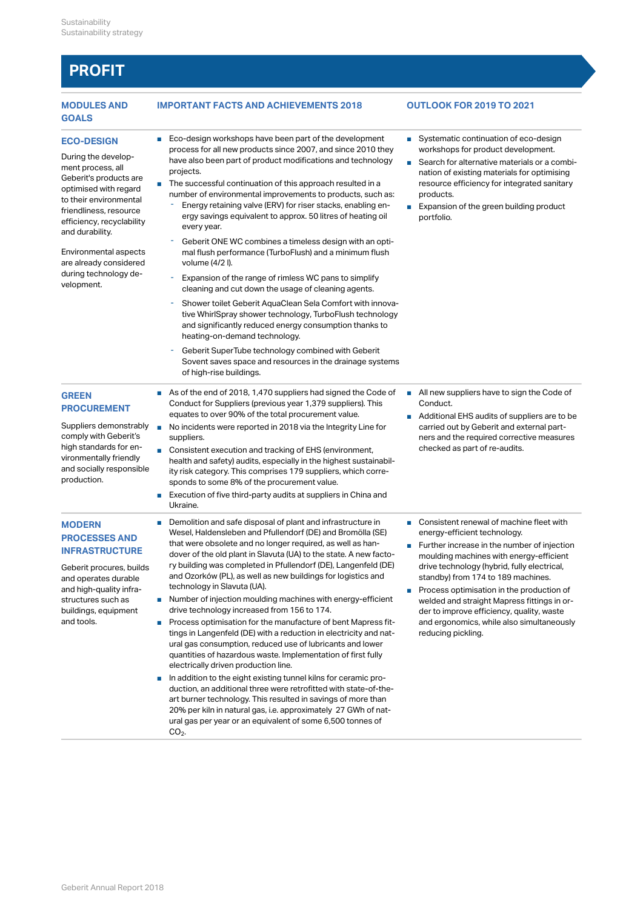### **PROFIT**

## **GOALS**

During the development process, all optimised with regard to their environmental efficiency, recyclability<br>every year. and durability.

are already considered volume (4/2 I). during technology development.

comply with Geberit's high standards for en-

and high-quality infra-

buildings, equipment

and tools.

production.

### **MODULES AND IMPORTANT FACTS AND ACHIEVEMENTS 2018 OUTLOOK FOR 2019 TO 2021**

- **ECO-DESIGN** Eco-design workshops have been part of the development Systematic cor process for all new products since 2007, and since 2010 they have also been part of product modifications and technology projects.
- Geberit's products are<br>
The successful continuation of this approach resulted in a subsequent resource efficiency for integrative and number of environmental improvements to products, such as:
- friendliness, resource<br>
ergy savings equivalent to approx. 50 litres of heating oil bortfoli Energy retaining valve (ERV) for riser stacks, enabling en-- Energy retaining valve (ERV<br>ergy savings equivalent to<br>every year.
- Environmental aspects mal flush performance (TurboFlush) and a minimum flush Geberit ONE WC combines a timeless design with an opti-- Geberit ONE WC combines a t<br>mal flush performance (Turbo<br>volume (4/2 l).
	- Expansion of the range of rimless WC pans to simplify cleaning and cut down the usage of cleaning agents.
	- Shower toilet Geberit AquaClean Sela Comfort with innovative WhirlSpray shower technology, TurboFlush technology and significantly reduced energy consumption thanks to - Shower toilet Geberit AquaClean Sela Comfort w<br>tive WhirlSpray shower technology, TurboFlush t<br>and significantly reduced energy consumption th<br>heating-on-demand technology.
	- Geberit SuperTube technology combined with Geberit Sovent saves space and resources in the drainage systems - Geberit SuperTube technology combi<br>Sovent saves space and resources in<br>of high-rise buildings.
- GREEN
 As of the end of 2018, 1,470 suppliers had signed the Code of All new suppliers **PROCUREMENT**<br>
equates to over 90% of the total procurement value. Conduct for Suppliers (previous year 1,379 suppliers). This
- Suppliers demonstrably No incidents were reported in 2018 via the Integrity Line for carried out by Ge suppliers.
- vironmentally friendly health and safety) audits, especially in the highest sustainabiland socially responsible ity risk category. This comprises 179 suppliers, which corre-■ Consistent execution and tracking of EHS (environment, a medicing the sponds to some 8% of the procurement value.
	- Execution of five third-party audits at suppliers in China and Ukraine.
- **MODERN** Demolition and safe disposal of plant and infrastructure in Demolition and safe disposal of plant and infrastructure in Demolition and safe disposal of plant and infrastructure in Demolition and safe disposal of **PROCESSES AND** wesely naider side in all called the part of the processes and no longer required, as well as han-**INFRASTRUCTURE** dover of the old plant in Slavuta (UA) to the state. A new facto-Geberit procures, builds ry building was completed in Pfullendorf (DE), Langenfeld (DE) and operates durable and Ozorków (PL), as well as new buildings for logistics and Wesel, Haldensleben and Pfullendorf (DE) and Bromölla (SE) technology in Slavuta (UA).
- structures such as Number of injection moulding machines with energy-efficient welded and straig drive technology increased from 156 to 174.
	- Process optimisation for the manufacture of bent Mapress fittings in Langenfeld (DE) with a reduction in electricity and natural gas consumption, reduced use of lubricants and lower quantities of hazardous waste. Implementation of first fully electrically driven production line.
	- In addition to the eight existing tunnel kilns for ceramic production, an additional three were retrofitted with state-of-theart burner technology. This resulted in savings of more than 20% per kiln in natural gas, i.e. approximately 27 GWh of natural gas per year or an equivalent of some 6,500 tonnes of  $CO<sub>2</sub>$ .  $CO<sub>2</sub>$

- Systematic continuation of eco-design workshops for product development.
- Search for alternative materials or a combination of existing materials for optimising resource efficiency for integrated sanitary products.
- Expansion of the green building product portfolio.

■ All new suppliers have to sign the Code of Conduct.

- Additional EHS audits of suppliers are to be carried out by Geberit and external partners and the required corrective measures checked as part of re-audits.
- Consistent renewal of machine fleet with energy-efficient technology.
- Further increase in the number of injection moulding machines with energy-efficient drive technology (hybrid, fully electrical, standby) from 174 to 189 machines.
- Process optimisation in the production of welded and straight Mapress fittings in order to improve efficiency, quality, waste and ergonomics, while also simultaneously reducing pickling.